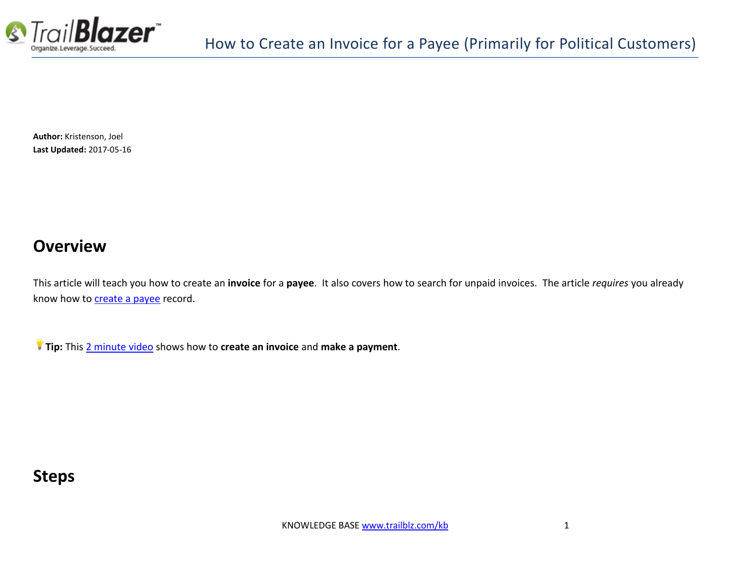

**Author:** Kristenson, Joel **Last Updated:** 2017-05-16

### **Overview**

This article will teach you how to create an **invoice** for a **payee**. It also covers how to search for unpaid invoices. The article *requires* you already know how to [create a payee](http://trailblz.com/kb/?action=view&kb=224&cat=1) record.

**Tip:** This [2 minute video](https://www.youtube.com/watch?v=pz6UOhEV_r0) shows how to **create an invoice** and **make a payment**.

## **Steps**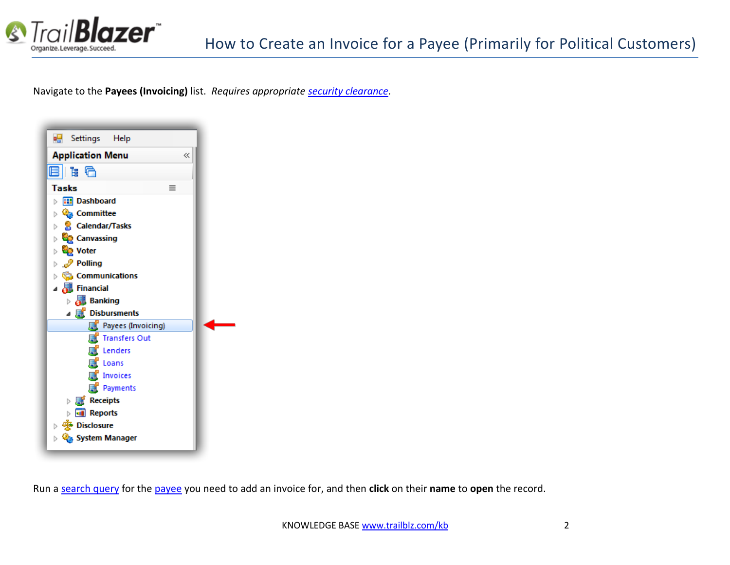

Navigate to the **Payees (Invoicing)** list. *Requires appropriate [security clearance.](http://trailblz.com/kb/?action=list&cat=4)*



Run a [search query](https://www.youtube.com/watch?v=MsJzUkpiRbU) for the [payee](http://trailblz.com/kb/?action=view&kb=224&cat=1) you need to add an invoice for, and then **click** on their **name** to **open** the record.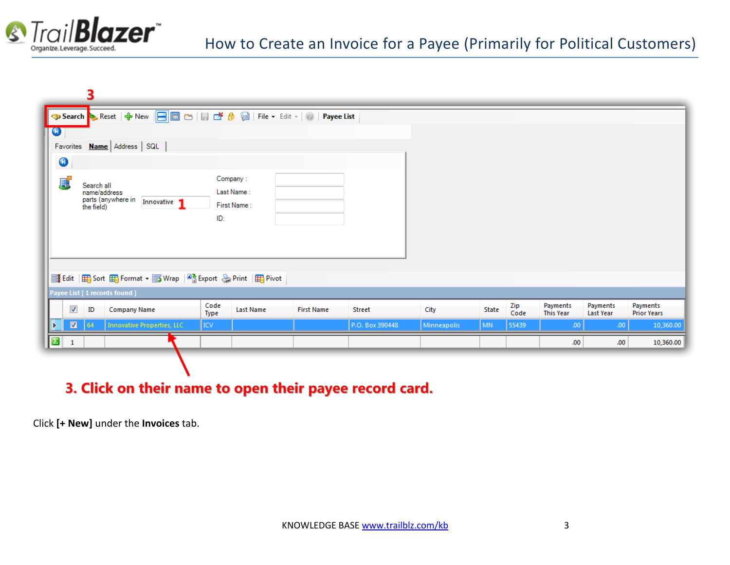

|           |                | 3                                        |                                                                                    |              |                                       |                   |                 |             |       |             |                              |                       |                                |
|-----------|----------------|------------------------------------------|------------------------------------------------------------------------------------|--------------|---------------------------------------|-------------------|-----------------|-------------|-------|-------------|------------------------------|-----------------------|--------------------------------|
|           |                |                                          | → Search → Reset   ← New   日 画 □   目 □ <i>台</i> 目   File + Edit +   ②   Payee List |              |                                       |                   |                 |             |       |             |                              |                       |                                |
| $\bullet$ |                |                                          |                                                                                    |              |                                       |                   |                 |             |       |             |                              |                       |                                |
|           |                |                                          | Favorites <b>Name</b> Address SQL                                                  |              |                                       |                   |                 |             |       |             |                              |                       |                                |
| $\bullet$ |                |                                          |                                                                                    |              |                                       |                   |                 |             |       |             |                              |                       |                                |
| F         |                | Search all<br>name/address<br>the field) | parts (anywhere in<br>Innovative 1                                                 | ID:          | Company:<br>Last Name:<br>First Name: |                   |                 |             |       |             |                              |                       |                                |
|           |                |                                          | 들 Edit   田 Sort 田 Format • - 기 Wrap   약 Export ۞ Print   田 Pivot                   |              |                                       |                   |                 |             |       |             |                              |                       |                                |
|           |                |                                          | Payee List [ 1 records found ]                                                     |              |                                       |                   |                 |             |       |             |                              |                       |                                |
|           | $\sqrt{}$      | ID                                       | <b>Company Name</b>                                                                | Code<br>Type | <b>Last Name</b>                      | <b>First Name</b> | <b>Street</b>   | City        | State | Zip<br>Code | Payments<br><b>This Year</b> | Payments<br>Last Year | Payments<br><b>Prior Years</b> |
|           | $\blacksquare$ | 64                                       | <b>Innovative Properties, LLC</b>                                                  | ICV          |                                       |                   | P.O. Box 390448 | Minneapolis | MN    | 55439       | .00 <sub>1</sub>             | .00.                  | 10,360.00                      |
| B         | $\mathbf{1}$   |                                          |                                                                                    |              |                                       |                   |                 |             |       |             | .00.                         | .00 <sub>1</sub>      | 10,360.00                      |
|           |                |                                          |                                                                                    |              |                                       |                   |                 |             |       |             |                              |                       |                                |

### 3. Click on their name to open their payee record card.

Click **[+ New]** under the **Invoices** tab.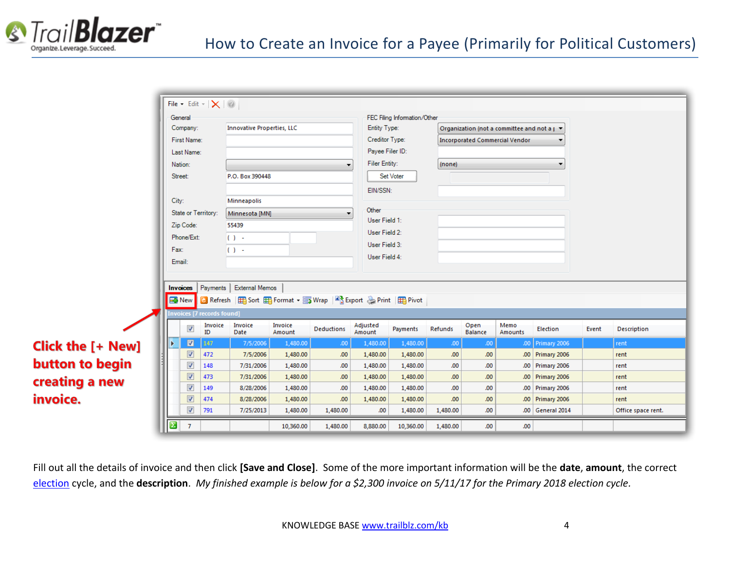

|                          |                       |                          | File - Edit - $ \mathsf{X} \mathsf{O} $ |                                                                                          |                   |                  |                    |                                                    |                  |                                                 |         |                  |       |                    |
|--------------------------|-----------------------|--------------------------|-----------------------------------------|------------------------------------------------------------------------------------------|-------------------|------------------|--------------------|----------------------------------------------------|------------------|-------------------------------------------------|---------|------------------|-------|--------------------|
|                          | General               |                          |                                         |                                                                                          |                   |                  |                    | FEC Filing Information/Other                       |                  |                                                 |         |                  |       |                    |
|                          | Company:              |                          |                                         | <b>Innovative Properties, LLC</b>                                                        |                   |                  | Entity Type:       |                                                    |                  | Organization (not a committee and not a j ▼     |         |                  |       |                    |
|                          |                       | First Name:              |                                         |                                                                                          |                   |                  |                    | Creditor Type:<br>Payee Filer ID:<br>Filer Entity: |                  | <b>Incorporated Commercial Vendor</b><br>(none) |         |                  |       |                    |
|                          |                       | Last Name:               |                                         |                                                                                          |                   |                  |                    |                                                    |                  |                                                 |         |                  |       |                    |
|                          | Nation:               |                          |                                         |                                                                                          |                   |                  |                    |                                                    |                  |                                                 |         |                  |       |                    |
|                          | Street:               |                          |                                         | P.O. Box 390448<br>Minneapolis                                                           |                   |                  |                    | Set Voter                                          |                  |                                                 |         |                  |       |                    |
|                          |                       |                          |                                         |                                                                                          |                   |                  | EIN/SSN:           |                                                    |                  |                                                 |         |                  |       |                    |
|                          | City:                 |                          |                                         |                                                                                          |                   |                  |                    |                                                    |                  |                                                 |         |                  |       |                    |
|                          |                       | State or Territory:      | Minnesota [MN]                          |                                                                                          |                   | Other            |                    |                                                    |                  |                                                 |         |                  |       |                    |
|                          |                       | Zip Code:                |                                         | 55439<br>$\left( \cdot \right)$ .                                                        |                   |                  | User Field 1:      |                                                    |                  |                                                 |         |                  |       |                    |
|                          |                       | Phone/Ext:               |                                         |                                                                                          |                   |                  | User Field 2:      |                                                    |                  |                                                 |         |                  |       |                    |
|                          | Fax:                  |                          |                                         | $\left( \cdot \right)$ -                                                                 |                   |                  | User Field 3:      |                                                    |                  |                                                 |         |                  |       |                    |
|                          | Email:                |                          |                                         |                                                                                          |                   |                  |                    | User Field 4:                                      |                  |                                                 |         |                  |       |                    |
|                          |                       |                          |                                         |                                                                                          |                   |                  |                    |                                                    |                  |                                                 |         |                  |       |                    |
|                          | Invoices              |                          |                                         | Payments   External Memos                                                                |                   |                  |                    |                                                    |                  |                                                 |         |                  |       |                    |
|                          |                       |                          |                                         | Bin New <b>C</b> Refresh   田 Sort 田 Format • http://wrap   Like Export & Print   田 Pivot |                   |                  |                    |                                                    |                  |                                                 |         |                  |       |                    |
|                          |                       |                          | Invoices [7 records found]              |                                                                                          |                   |                  |                    |                                                    |                  |                                                 |         |                  |       |                    |
|                          |                       |                          |                                         |                                                                                          |                   |                  |                    |                                                    |                  |                                                 | Memo    |                  |       |                    |
|                          |                       | $\blacktriangledown$     | Invoice<br>ID                           | Invoice<br>Date                                                                          | Invoice<br>Amount | Deductions       | Adjusted<br>Amount | Payments                                           | Refunds          | Open<br>Balance                                 | Amounts | Election         | Event | Description        |
| <b>Click the [+ New]</b> |                       | $\blacksquare$           | 147                                     | 7/5/2006                                                                                 | 1,480.00          | .00.             | 1,480.00           | 1,480.00                                           | .00.             | 00.                                             |         | .00 Primary 2006 |       | rent               |
|                          |                       | $\overline{\mathbf{v}}$  | 472                                     | 7/5/2006                                                                                 | 1,480.00          | .00 <sub>1</sub> | 1,480.00           | 1,480.00                                           | .00              | .00                                             |         | .00 Primary 2006 |       | rent               |
| button to begin          |                       | $\overline{\mathsf{v}}$  | 148                                     | 7/31/2006                                                                                | 1,480.00          | .00 <sub>1</sub> | 1,480.00           | 1,480.00                                           | .00              | .00                                             |         | .00 Primary 2006 |       | rent               |
| creating a new           |                       | $\overline{\mathbf{v}}$  | 473                                     | 7/31/2006                                                                                | 1,480.00          | .00              | 1,480.00           | 1,480.00                                           | .00              | .00 <sub>1</sub>                                |         | .00 Primary 2006 |       | rent               |
|                          |                       | $\overline{\mathsf{v}}$  | 149                                     | 8/28/2006                                                                                | 1,480.00          | .00 <sub>1</sub> | 1,480.00           | 1,480.00                                           | .00              | .00.                                            |         | .00 Primary 2006 |       | rent               |
| invoice.                 |                       | V                        | 474                                     | 8/28/2006                                                                                | 1,480.00          | .00              | 1,480.00           | 1,480.00                                           | .00 <sub>1</sub> | .00.                                            |         | .00 Primary 2006 |       | rent               |
|                          |                       | $\overline{\mathcal{A}}$ | 791                                     | 7/25/2013                                                                                | 1,480.00          | 1,480.00         | .00                | 1,480.00                                           | 1,480.00         | .00                                             |         | .00 General 2014 |       | Office space rent. |
|                          | $\boldsymbol{\Sigma}$ | $\mathcal{I}$            |                                         |                                                                                          | 10,360.00         | 1,480.00         | 8,880.00           | 10,360.00                                          | 1,480.00         | .00.                                            | .00     |                  |       |                    |

Fill out all the details of invoice and then click **[Save and Close]**. Some of the more important information will be the **date**, **amount**, the correct [election](http://trailblz.com/kb/?action=view&kb=212&cat=1) cycle, and the **description**. *My finished example is below for a \$2,300 invoice on 5/11/17 for the Primary 2018 election cycle.*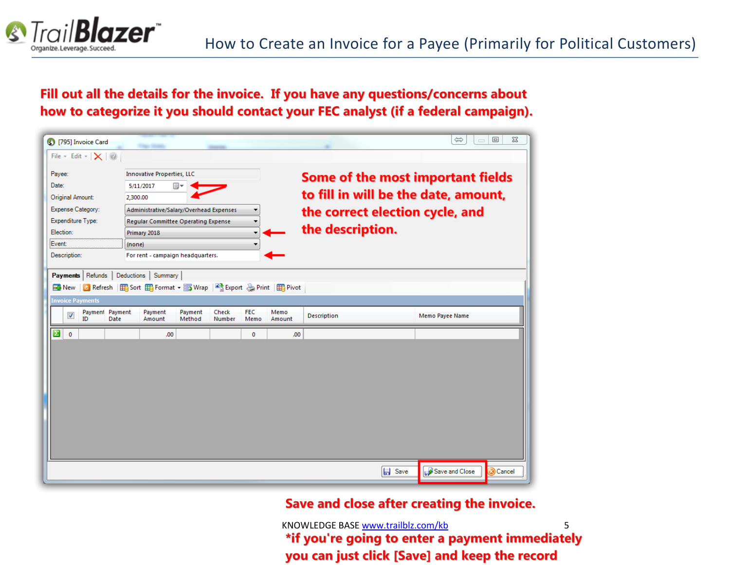

### Fill out all the details for the invoice. If you have any questions/concerns about how to categorize it you should contact your FEC analyst (if a federal campaign).



#### Save and close after creating the invoice.

KNOWLEDGE BAS[E www.trailblz.com/kb](http://www.trailblz.com/kb) 5 \*if you're going to enter a payment immediately you can just click [Save] and keep the record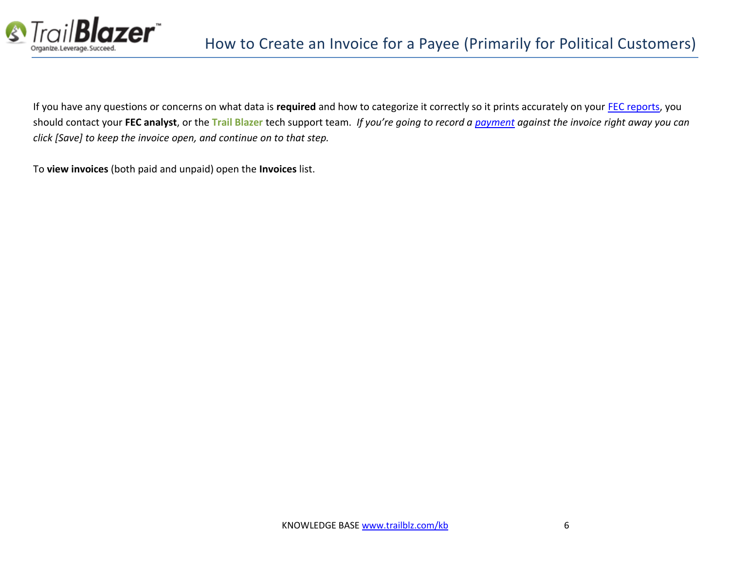

If you have any questions or concerns on what data is **required** and how to categorize it correctly so it prints accurately on your [FEC reports,](http://trailblz.com/kb/?action=search&qq=fec&cat=1) you should contact your **FEC analyst**, or the **Trail Blazer** tech support team. *If you're going to record a [payment](http://trailblz.com/kb/?action=view&kb=225&cat=1) against the invoice right away you can click [Save] to keep the invoice open, and continue on to that step.*

To **view invoices** (both paid and unpaid) open the **Invoices** list.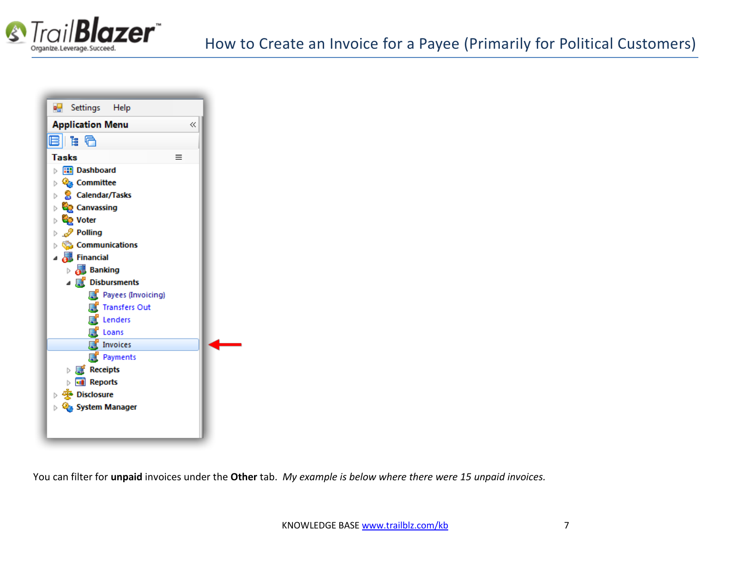



You can filter for **unpaid** invoices under the **Other** tab. *My example is below where there were 15 unpaid invoices.*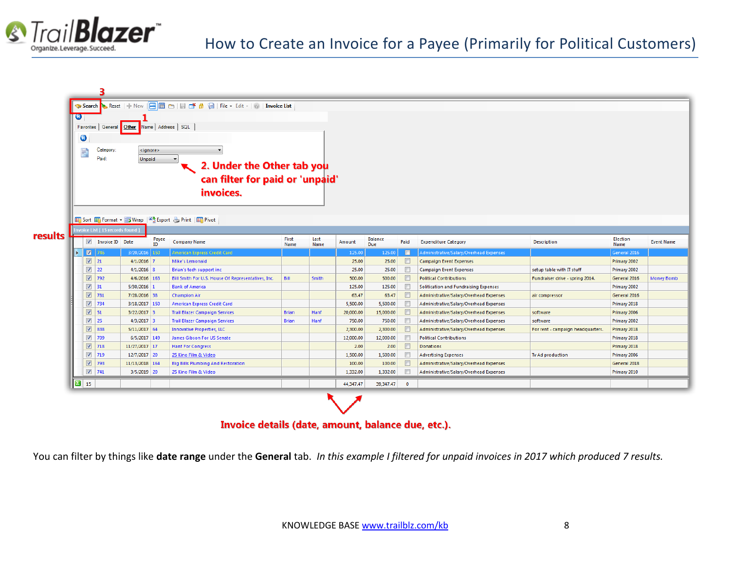

| <mark>◆ Search </mark> ◆ Reset   ← New   ■ ■ □   目 ■ ● 圓   File ・ Edit -   ◎   <b>Invoice List</b><br>IO.<br>Favorites   General   Other   Name   Address   SQL<br>0<br>Category:<br>₽<br><ignore><br/>Paid:<br/>Unpaid<br/>2. Under the Other tab you<br/>can filter for paid or 'unpaid'<br/>invoices.<br/>  田 Sort 田 Format • 5 Wrap   B Export &amp; Print   田 Pivot</ignore> |  |                                                    |                                  |                 |             |                                                    |              |       |           |                |        |                                         |                                   |                      |                   |
|-----------------------------------------------------------------------------------------------------------------------------------------------------------------------------------------------------------------------------------------------------------------------------------------------------------------------------------------------------------------------------------|--|----------------------------------------------------|----------------------------------|-----------------|-------------|----------------------------------------------------|--------------|-------|-----------|----------------|--------|-----------------------------------------|-----------------------------------|----------------------|-------------------|
|                                                                                                                                                                                                                                                                                                                                                                                   |  |                                                    | nvoice List [ 15 records found ] |                 |             |                                                    |              |       |           |                |        |                                         |                                   |                      |                   |
| results                                                                                                                                                                                                                                                                                                                                                                           |  |                                                    | <b>V</b> Invoice ID Date         |                 |             | <b>Company Name</b>                                | First        | Last  | Amount    | <b>Balance</b> | Paid   | <b>Expenditure Category</b>             | <b>Description</b>                | Election             | <b>Event Name</b> |
|                                                                                                                                                                                                                                                                                                                                                                                   |  | $\blacksquare$                                     | 1746                             | $3/20/2016$ 150 | Payee<br>ID | American Express Credit Card                       | Name         | Name  | 125.00    | Due<br>125.00  | O      | Administrative/Salary/Overhead Expenses |                                   | Name<br>General 2016 |                   |
|                                                                                                                                                                                                                                                                                                                                                                                   |  | $\triangledown$                                    | 21                               | $4/1/2016$ 7    |             | Mike's Lemonaid                                    |              |       | 25.00     | 25.00          | $\Box$ | <b>Campaign Event Expenses</b>          |                                   | Primary 2002         |                   |
|                                                                                                                                                                                                                                                                                                                                                                                   |  | $\overline{\mathbf{v}}$                            | 22                               | $4/1/2016$ 8    |             | Brian's tech support inc.                          |              |       | 25.00     | 25.00          |        | <b>Campaign Event Expenses</b>          | setup table with IT stuff         | Primary 2002         |                   |
|                                                                                                                                                                                                                                                                                                                                                                                   |  | $\overline{\mathbf{v}}$                            | 792                              | 4/6/2016 163    |             | Bill Smith For U.S. House Of Representatives, Inc. | Bill         | Smith | 500.00    | 500.00         | $\Box$ | <b>Political Contributions</b>          | Fundraiser drive - spring 2014.   | General 2016         | <b>Money Bomb</b> |
|                                                                                                                                                                                                                                                                                                                                                                                   |  | $\overline{\mathbf{v}}$                            | 31                               | $5/30/2016$ 1   |             | <b>Bank of America</b>                             |              |       | 125.00    | 125.00         |        | Solitication and Fundraising Expenses   |                                   | Primary 2002         |                   |
|                                                                                                                                                                                                                                                                                                                                                                                   |  | $\overline{\mathbf{v}}$                            | 781                              | 7/28/2016 38    |             | <b>Champion Air</b>                                |              |       | 63.47     | 63.47          |        | Administrative/Salary/Overhead Expenses | air compressor                    | General 2016         |                   |
|                                                                                                                                                                                                                                                                                                                                                                                   |  | $\overline{\mathbf{v}}$                            | 734                              | 3/18/2017 150   |             | American Express Credit Card                       |              |       | 5,500.00  | 5,500.00       |        | Administrative/Salary/Overhead Expenses |                                   | Primary 2018         |                   |
|                                                                                                                                                                                                                                                                                                                                                                                   |  | $\overline{\mathbf{v}}$                            | 51                               | $3/22/2017$ 3   |             | <b>Trail Blazer Campaign Services</b>              | <b>Brian</b> | Hanf  | 20,000.00 | 15,000.00      |        | Administrative/Salary/Overhead Expenses | software                          | Primary 2006         |                   |
|                                                                                                                                                                                                                                                                                                                                                                                   |  | $\sqrt{2}$                                         | 25                               | $4/3/2017$ 3    |             | <b>Trail Blazer Campaign Services</b>              | <b>Brian</b> | Hanf  | 750.00    | 750.00         | $\Box$ | Administrative/Salary/Overhead Expenses | software                          | Primary 2002         |                   |
|                                                                                                                                                                                                                                                                                                                                                                                   |  | $\sqrt{2}$                                         | 838                              | $5/11/2017$ 64  |             | <b>Innovative Properties, LLC</b>                  |              |       | 2,300.00  | 2,300.00       |        | Administrative/Salary/Overhead Expenses | For rent - campaign headquarters. | Primary 2018         |                   |
|                                                                                                                                                                                                                                                                                                                                                                                   |  | $\sqrt{2}$                                         | 709                              | 6/5/2017 149    |             | James Gibson For US Senate                         |              |       | 12,000.00 | 12,000.00      | $\Box$ | <b>Political Contributions</b>          |                                   | Primary 2018         |                   |
|                                                                                                                                                                                                                                                                                                                                                                                   |  | $\sqrt{2}$                                         | 718                              | 11/27/2017 17   |             | <b>Hanf For Congress</b>                           |              |       | 2.00      | 2.00           | $\Box$ | <b>Donations</b>                        |                                   | Primary 2018         |                   |
|                                                                                                                                                                                                                                                                                                                                                                                   |  | $\overline{\mathbf{v}}$                            | 719                              | $12/7/2017$ 20  |             | 25 Kino Film & Video                               |              |       | 1,500.00  | 1,500.00       |        | <b>Advertising Expenses</b>             | Tv Ad production                  | Primary 2006         |                   |
|                                                                                                                                                                                                                                                                                                                                                                                   |  | $\overline{\mathbf{v}}$<br>$\overline{\mathbf{v}}$ | 793                              | 11/13/2018 164  |             | <b>Big Bills Plumbing And Restoration</b>          |              |       | 100.00    | 100.00         |        | Administrative/Salary/Overhead Expenses |                                   | General 2018         |                   |

#### Invoice details (date, amount, balance due, etc.).

You can filter by things like **date range** under the **General** tab. *In this example I filtered for unpaid invoices in 2017 which produced 7 results.*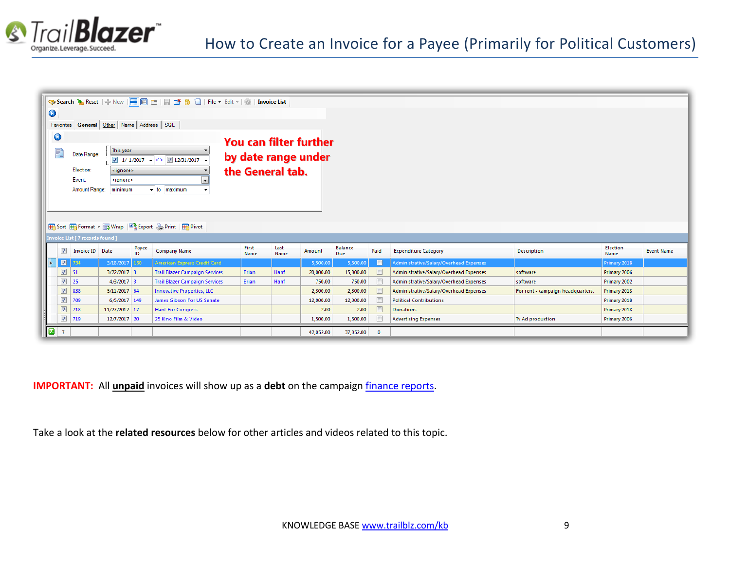

| $\bullet$ |                         |                                 |                                                  |             |                                                                             |                               |              |           |                       |                |                                         |                                   |                  |                   |
|-----------|-------------------------|---------------------------------|--------------------------------------------------|-------------|-----------------------------------------------------------------------------|-------------------------------|--------------|-----------|-----------------------|----------------|-----------------------------------------|-----------------------------------|------------------|-------------------|
|           |                         |                                 | Favorites General   Other   Name   Address   SQL |             |                                                                             |                               |              |           |                       |                |                                         |                                   |                  |                   |
|           |                         |                                 |                                                  |             |                                                                             |                               |              |           |                       |                |                                         |                                   |                  |                   |
|           | $\bullet$               |                                 |                                                  |             |                                                                             | <b>You can filter further</b> |              |           |                       |                |                                         |                                   |                  |                   |
|           | P,                      | Date Range:                     | This year                                        |             |                                                                             |                               |              |           |                       |                |                                         |                                   |                  |                   |
|           |                         |                                 |                                                  |             | $\boxed{7}$ 1/ 1/2017 $\rightarrow$ <> $\boxed{7}$ 12/31/2017 $\rightarrow$ | by date range under           |              |           |                       |                |                                         |                                   |                  |                   |
|           |                         | Election:                       | <ignore></ignore>                                |             |                                                                             | the General tab.              |              |           |                       |                |                                         |                                   |                  |                   |
|           |                         | Event:                          | <ignore></ignore>                                |             |                                                                             |                               |              |           |                       |                |                                         |                                   |                  |                   |
|           |                         | Amount Range:                   | minimum                                          |             | $\blacktriangleright$ to maximum                                            |                               |              |           |                       |                |                                         |                                   |                  |                   |
|           |                         |                                 |                                                  |             |                                                                             |                               |              |           |                       |                |                                         |                                   |                  |                   |
|           |                         |                                 |                                                  |             |                                                                             |                               |              |           |                       |                |                                         |                                   |                  |                   |
|           |                         |                                 |                                                  |             |                                                                             |                               |              |           |                       |                |                                         |                                   |                  |                   |
|           |                         |                                 |                                                  |             | 田 Sort 田 Format • 5 Wrap   A Export & Print   田 Pivot                       |                               |              |           |                       |                |                                         |                                   |                  |                   |
|           |                         | nvoice List [ 7 records found ] |                                                  |             |                                                                             |                               |              |           |                       |                |                                         |                                   |                  |                   |
|           | $\sqrt{}$               | Invoice ID Date                 |                                                  | Payee<br>ID | <b>Company Name</b>                                                         | First<br>Name                 | Last<br>Name | Amount    | Balance<br><b>Due</b> | Paid           | <b>Expenditure Category</b>             | <b>Description</b>                | Election<br>Name | <b>Event Name</b> |
| Þ         | $\blacksquare$          | 734                             | 3/18/2017 150                                    |             | American Express Credit Card                                                |                               |              | 5,500.00  | 5,500.00              | $\blacksquare$ | Administrative/Salary/Overhead Expenses |                                   | Primary 2018     |                   |
|           | $\overline{\mathbf{v}}$ | 51                              | $3/22/2017$ 3                                    |             | <b>Trail Blazer Campaign Services</b>                                       | <b>Brian</b>                  | Hanf         | 20,000.00 | 15,000.00             |                | Administrative/Salary/Overhead Expenses | software                          | Primary 2006     |                   |
|           | $\checkmark$            | 25                              | $4/3/2017$ 3                                     |             | <b>Trail Blazer Campaign Services</b>                                       | <b>Brian</b>                  | Hanf         | 750.00    | 750.00                |                | Administrative/Salary/Overhead Expenses | software                          | Primary 2002     |                   |
|           | $\overline{\mathbf{v}}$ | 838                             | $5/11/2017$ 64                                   |             | <b>Innovative Properties, LLC</b>                                           |                               |              | 2,300.00  | 2,300.00              |                | Administrative/Salary/Overhead Expenses | For rent - campaign headquarters. | Primary 2018     |                   |
|           | $\checkmark$            | 709                             | 6/5/2017 149                                     |             | James Gibson For US Senate                                                  |                               |              | 12,000.00 | 12,000.00             |                | <b>Political Contributions</b>          |                                   | Primary 2018     |                   |
|           | $\overline{\mathbf{v}}$ | 718                             | 11/27/2017 17                                    |             | <b>Hanf For Congress</b>                                                    |                               |              | 2.00      | 2.00                  |                | <b>Donations</b>                        |                                   | Primary 2018     |                   |
|           | $\sqrt{2}$              | $719$                           | 12/7/2017 20                                     |             | 25 Kino Film & Video                                                        |                               |              | 1,500.00  | 1,500.00              |                | <b>Advertising Expenses</b>             | Tv Ad production                  | Primary 2006     |                   |
|           | $\boxed{2}$ 7           |                                 |                                                  |             |                                                                             |                               |              | 42,052.00 | 37,052.00             | $\mathbf{0}$   |                                         |                                   |                  |                   |

**IMPORTANT:** All *unpaid* invoices will show up as a debt on the campaign *finance reports*.

Take a look at the **related resources** below for other articles and videos related to this topic.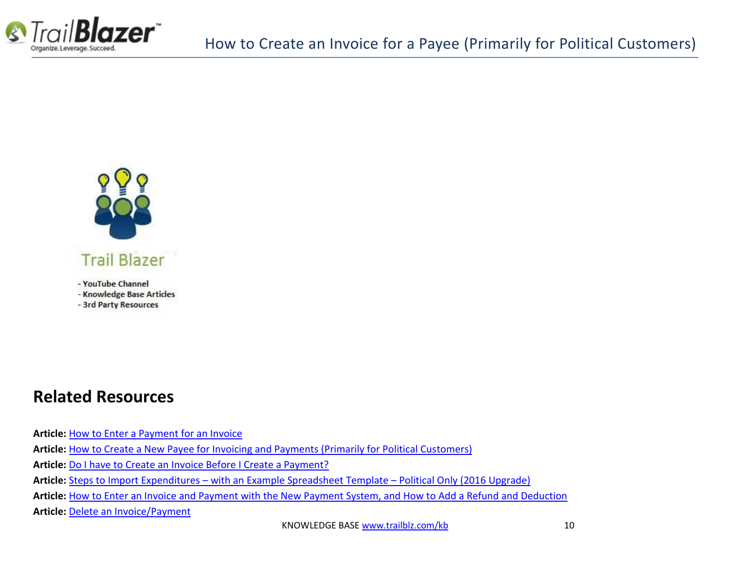



- YouTube Channel - Knowledge Base Articles
- 3rd Party Resources

### **Related Resources**

**Article:** [How to Enter a Payment for an Invoice](http://trailblz.com/kb/?action=view&kb=225&cat=1) **Article:** [How to Create a New Payee for Invoicing and Payments \(Primarily for Political Customers\)](http://trailblz.com/kb/?action=view&kb=224&cat=1) **Article:** [Do I have to Create an Invoice Before I Create a Payment?](http://trailblz.com/kb/?action=view&kb=136&cat=1) **Article:** Steps to Import Expenditures – [with an Example Spreadsheet Template](http://trailblz.com/kb/?action=view&kb=357&cat=1) – Political Only (2016 Upgrade) **Article:** [How to Enter an Invoice and Payment with the New Payment System, and How to Add a Refund and Deduction](http://trailblz.com/kb/?action=view&kb=269&cat=1) **Article:** [Delete an Invoice/Payment](http://trailblz.com/kb/?action=view&kb=77&cat=1)

KNOWLEDGE BAS[E www.trailblz.com/kb](http://www.trailblz.com/kb) 10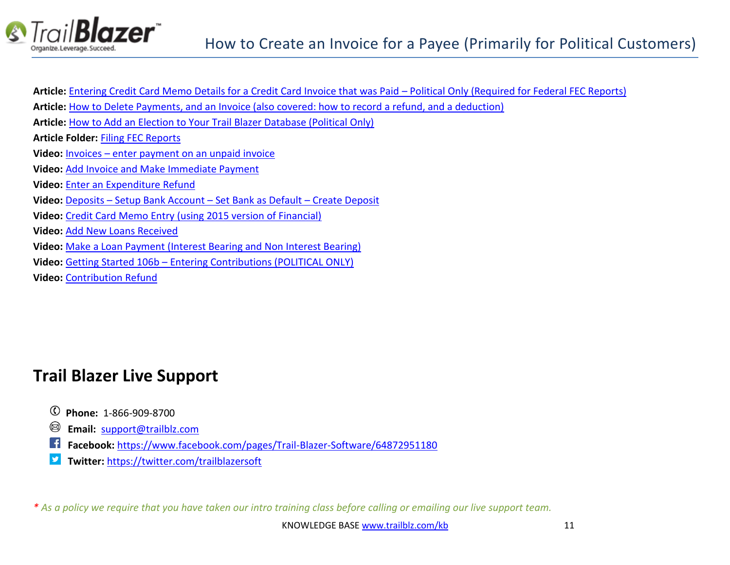

| Article: Entering Credit Card Memo Details for a Credit Card Invoice that was Paid – Political Only (Required for Federal FEC Reports) |
|----------------------------------------------------------------------------------------------------------------------------------------|
| Article: How to Delete Payments, and an Invoice (also covered: how to record a refund, and a deduction)                                |
| Article: How to Add an Election to Your Trail Blazer Database (Political Only)                                                         |
| <b>Article Folder: Filing FEC Reports</b>                                                                                              |
| <b>Video:</b> Invoices – enter payment on an unpaid invoice                                                                            |
| Video: Add Invoice and Make Immediate Payment                                                                                          |
| Video: Enter an Expenditure Refund                                                                                                     |
| <b>Video:</b> Deposits – Setup Bank Account – Set Bank as Default – Create Deposit                                                     |
| <b>Video:</b> Credit Card Memo Entry (using 2015 version of Financial)                                                                 |
| <b>Video: Add New Loans Received</b>                                                                                                   |
| Video: Make a Loan Payment (Interest Bearing and Non Interest Bearing)                                                                 |
| Video: Getting Started 106b - Entering Contributions (POLITICAL ONLY)                                                                  |
| <b>Video: Contribution Refund</b>                                                                                                      |

# **Trail Blazer Live Support**

- **Phone:** 1-866-909-8700
- **Email:** [support@trailblz.com](mailto:support@trailblz.com)
- **Facebook:** <https://www.facebook.com/pages/Trail-Blazer-Software/64872951180>
- **Twitter:** <https://twitter.com/trailblazersoft>

*\* As a policy we require that you have taken our intro training class before calling or emailing our live support team.*